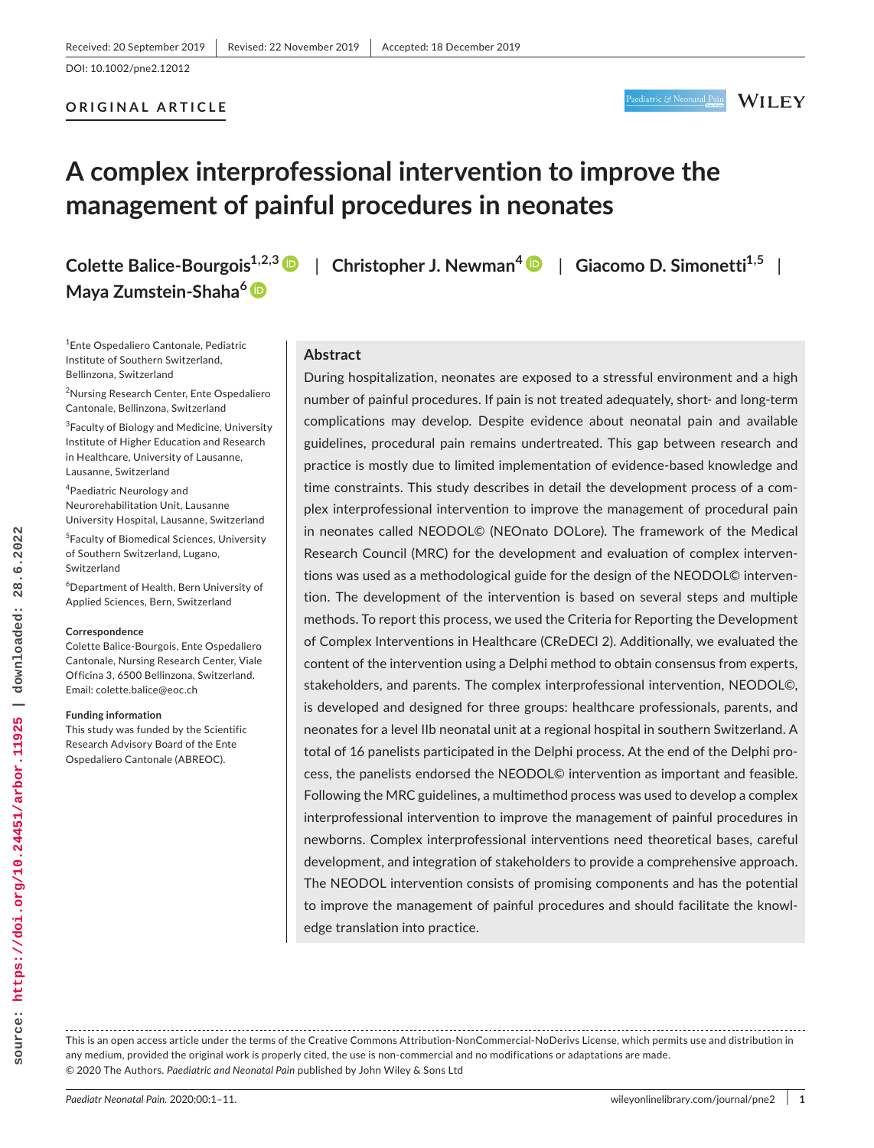# **ORIGINAL ARTICLE**



# **A complex interprofessional intervention to improve the management of painful procedures in neonates**

**Maya Zumstein-Shaha[6](https://orcid.org/0000-0003-4253-3123)**

**Colette Balice-Bourgois1,2,[3](https://orcid.org/0000-0003-0286-0242)** | **Christopher J. Newman[4](https://orcid.org/0000-0002-9874-6681)** | **Giacomo D. Simonetti1,5** |

1 Ente Ospedaliero Cantonale, Pediatric Institute of Southern Switzerland, Bellinzona, Switzerland

<sup>2</sup>Nursing Research Center, Ente Ospedaliero Cantonale, Bellinzona, Switzerland

3 Faculty of Biology and Medicine, University Institute of Higher Education and Research in Healthcare, University of Lausanne, Lausanne, Switzerland

4 Paediatric Neurology and Neurorehabilitation Unit, Lausanne University Hospital, Lausanne, Switzerland

5 Faculty of Biomedical Sciences, University of Southern Switzerland, Lugano, Switzerland

6 Department of Health, Bern University of Applied Sciences, Bern, Switzerland

#### **Correspondence**

Colette Balice-Bourgois, Ente Ospedaliero Cantonale, Nursing Research Center, Viale Officina 3, 6500 Bellinzona, Switzerland. Email: [colette.balice@eoc.ch](mailto:colette.balice@eoc.ch)

#### **Funding information**

This study was funded by the Scientific Research Advisory Board of the Ente Ospedaliero Cantonale (ABREOC).

# **Abstract**

During hospitalization, neonates are exposed to a stressful environment and a high number of painful procedures. If pain is not treated adequately, short- and long-term complications may develop. Despite evidence about neonatal pain and available guidelines, procedural pain remains undertreated. This gap between research and practice is mostly due to limited implementation of evidence-based knowledge and time constraints. This study describes in detail the development process of a complex interprofessional intervention to improve the management of procedural pain in neonates called NEODOL© (NEOnato DOLore). The framework of the Medical Research Council (MRC) for the development and evaluation of complex interventions was used as a methodological guide for the design of the NEODOL© intervention. The development of the intervention is based on several steps and multiple methods. To report this process, we used the Criteria for Reporting the Development of Complex Interventions in Healthcare (CReDECI 2). Additionally, we evaluated the content of the intervention using a Delphi method to obtain consensus from experts, stakeholders, and parents. The complex interprofessional intervention, NEODOL©, is developed and designed for three groups: healthcare professionals, parents, and neonates for a level IIb neonatal unit at a regional hospital in southern Switzerland. A total of 16 panelists participated in the Delphi process. At the end of the Delphi process, the panelists endorsed the NEODOL© intervention as important and feasible. Following the MRC guidelines, a multimethod process was used to develop a complex interprofessional intervention to improve the management of painful procedures in newborns. Complex interprofessional interventions need theoretical bases, careful development, and integration of stakeholders to provide a comprehensive approach. The NEODOL intervention consists of promising components and has the potential to improve the management of painful procedures and should facilitate the knowledge translation into practice.

This is an open access article under the terms of the [Creative Commons Attribution-NonCommercial-NoDerivs](http://creativecommons.org/licenses/by-nc-nd/4.0/) License, which permits use and distribution in any medium, provided the original work is properly cited, the use is non-commercial and no modifications or adaptations are made. © 2020 The Authors. *Paediatric and Neonatal Pain* published by John Wiley & Sons Ltd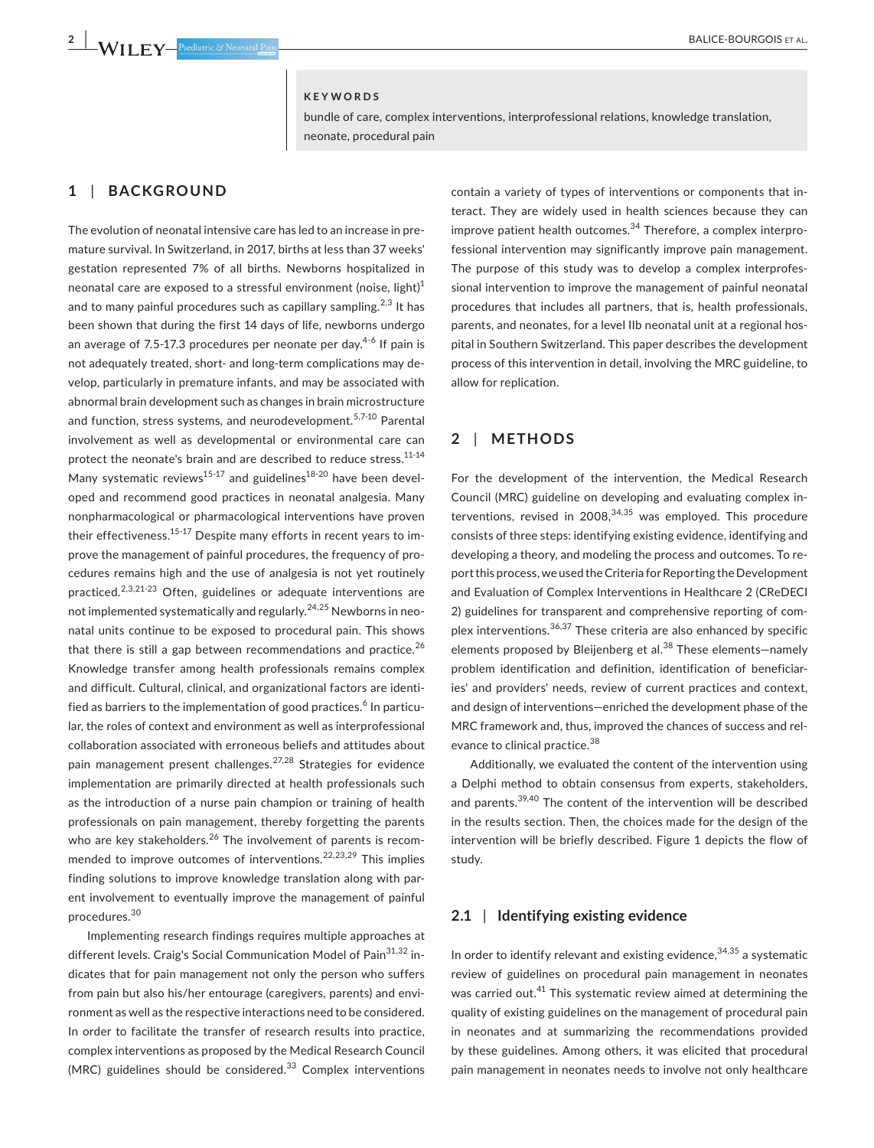#### **KEYWORDS**

bundle of care, complex interventions, interprofessional relations, knowledge translation, neonate, procedural pain

# **1** | **BACKGROUND**

The evolution of neonatal intensive care has led to an increase in premature survival. In Switzerland, in 2017, births at less than 37 weeks' gestation represented 7% of all births. Newborns hospitalized in neonatal care are exposed to a stressful environment (noise, light) $1$ and to many painful procedures such as capillary sampling.<sup>2,3</sup> It has been shown that during the first 14 days of life, newborns undergo an average of 7.5-17.3 procedures per neonate per day.<sup>4-6</sup> If pain is not adequately treated, short- and long-term complications may develop, particularly in premature infants, and may be associated with abnormal brain development such as changes in brain microstructure and function, stress systems, and neurodevelopment.<sup>5,7-10</sup> Parental involvement as well as developmental or environmental care can protect the neonate's brain and are described to reduce stress.<sup>11-14</sup> Many systematic reviews<sup>15-17</sup> and guidelines<sup>18-20</sup> have been developed and recommend good practices in neonatal analgesia. Many nonpharmacological or pharmacological interventions have proven their effectiveness.<sup>15-17</sup> Despite many efforts in recent years to improve the management of painful procedures, the frequency of procedures remains high and the use of analgesia is not yet routinely practiced.2,3,21-23 Often, guidelines or adequate interventions are not implemented systematically and regularly.24,25 Newborns in neonatal units continue to be exposed to procedural pain. This shows that there is still a gap between recommendations and practice. $26$ Knowledge transfer among health professionals remains complex and difficult. Cultural, clinical, and organizational factors are identified as barriers to the implementation of good practices.<sup>6</sup> In particular, the roles of context and environment as well as interprofessional collaboration associated with erroneous beliefs and attitudes about pain management present challenges.<sup>27,28</sup> Strategies for evidence implementation are primarily directed at health professionals such as the introduction of a nurse pain champion or training of health professionals on pain management, thereby forgetting the parents who are key stakeholders.<sup>26</sup> The involvement of parents is recommended to improve outcomes of interventions.<sup>22,23,29</sup> This implies finding solutions to improve knowledge translation along with parent involvement to eventually improve the management of painful procedures.<sup>30</sup>

Implementing research findings requires multiple approaches at different levels. Craig's Social Communication Model of Pain<sup>31,32</sup> indicates that for pain management not only the person who suffers from pain but also his/her entourage (caregivers, parents) and environment as well as the respective interactions need to be considered. In order to facilitate the transfer of research results into practice, complex interventions as proposed by the Medical Research Council (MRC) guidelines should be considered. $33$  Complex interventions contain a variety of types of interventions or components that interact. They are widely used in health sciences because they can improve patient health outcomes.<sup>34</sup> Therefore, a complex interprofessional intervention may significantly improve pain management. The purpose of this study was to develop a complex interprofessional intervention to improve the management of painful neonatal procedures that includes all partners, that is, health professionals, parents, and neonates, for a level IIb neonatal unit at a regional hospital in Southern Switzerland. This paper describes the development process of this intervention in detail, involving the MRC guideline, to allow for replication.

## **2** | **METHODS**

For the development of the intervention, the Medical Research Council (MRC) guideline on developing and evaluating complex interventions, revised in 2008, $34,35$  was employed. This procedure consists of three steps: identifying existing evidence, identifying and developing a theory, and modeling the process and outcomes. To report this process, we used the Criteria for Reporting the Development and Evaluation of Complex Interventions in Healthcare 2 (CReDECI 2) guidelines for transparent and comprehensive reporting of complex interventions.<sup>36,37</sup> These criteria are also enhanced by specific elements proposed by Bleijenberg et al.<sup>38</sup> These elements—namely problem identification and definition, identification of beneficiaries' and providers' needs, review of current practices and context, and design of interventions—enriched the development phase of the MRC framework and, thus, improved the chances of success and relevance to clinical practice.<sup>38</sup>

Additionally, we evaluated the content of the intervention using a Delphi method to obtain consensus from experts, stakeholders, and parents.<sup>39,40</sup> The content of the intervention will be described in the results section. Then, the choices made for the design of the intervention will be briefly described. Figure 1 depicts the flow of study.

## **2.1** | **Identifying existing evidence**

In order to identify relevant and existing evidence,  $34,35$  a systematic review of guidelines on procedural pain management in neonates was carried out.<sup>41</sup> This systematic review aimed at determining the quality of existing guidelines on the management of procedural pain in neonates and at summarizing the recommendations provided by these guidelines. Among others, it was elicited that procedural pain management in neonates needs to involve not only healthcare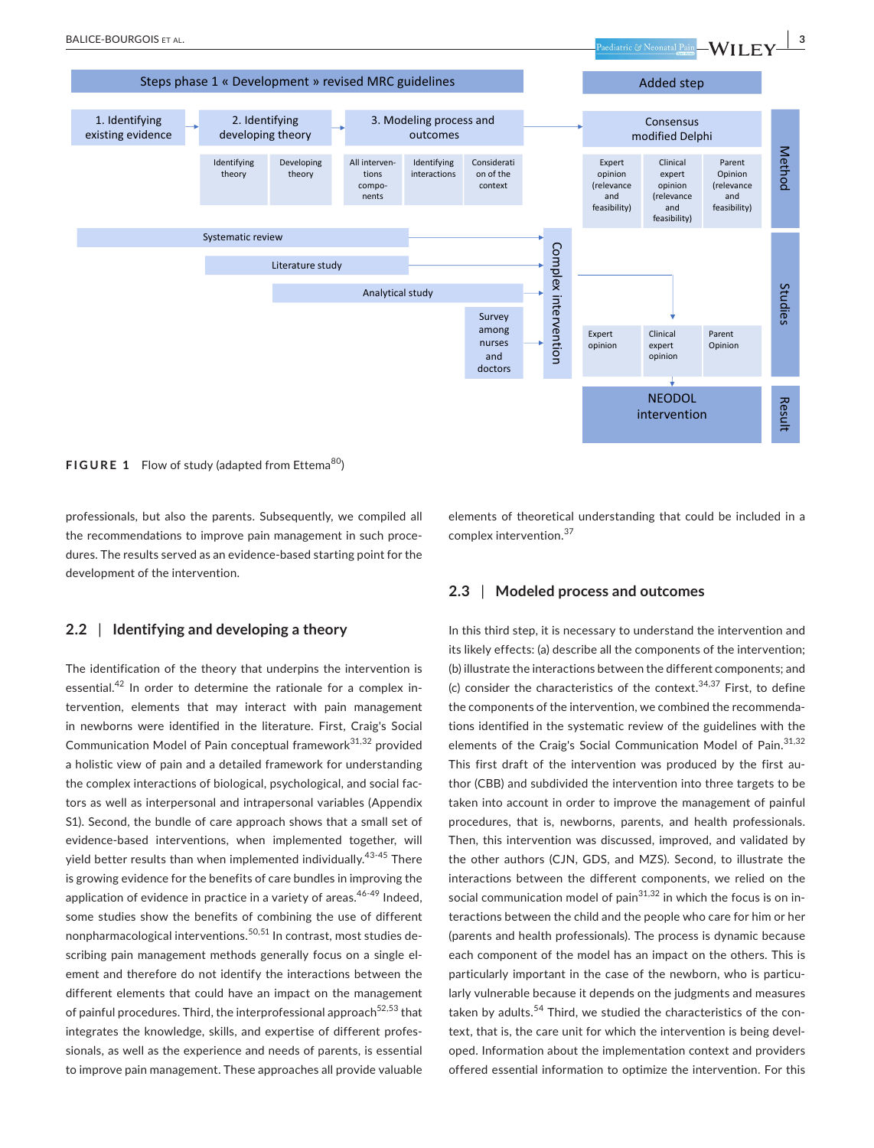

**FIGURE 1** Flow of study (adapted from Ettema<sup>80</sup>)

professionals, but also the parents. Subsequently, we compiled all the recommendations to improve pain management in such procedures. The results served as an evidence-based starting point for the development of the intervention.

# **2.2** | **Identifying and developing a theory**

The identification of the theory that underpins the intervention is essential.<sup>42</sup> In order to determine the rationale for a complex intervention, elements that may interact with pain management in newborns were identified in the literature. First, Craig's Social Communication Model of Pain conceptual framework $31,32$  provided a holistic view of pain and a detailed framework for understanding the complex interactions of biological, psychological, and social factors as well as interpersonal and intrapersonal variables (Appendix S1). Second, the bundle of care approach shows that a small set of evidence-based interventions, when implemented together, will yield better results than when implemented individually.<sup>43-45</sup> There is growing evidence for the benefits of care bundles in improving the application of evidence in practice in a variety of areas.<sup>46-49</sup> Indeed, some studies show the benefits of combining the use of different nonpharmacological interventions.<sup>50,51</sup> In contrast, most studies describing pain management methods generally focus on a single element and therefore do not identify the interactions between the different elements that could have an impact on the management of painful procedures. Third, the interprofessional approach  $52,53$  that integrates the knowledge, skills, and expertise of different professionals, as well as the experience and needs of parents, is essential to improve pain management. These approaches all provide valuable

elements of theoretical understanding that could be included in a complex intervention.<sup>37</sup>

# **2.3** | **Modeled process and outcomes**

In this third step, it is necessary to understand the intervention and its likely effects: (a) describe all the components of the intervention; (b) illustrate the interactions between the different components; and (c) consider the characteristics of the context.<sup>34,37</sup> First, to define the components of the intervention, we combined the recommendations identified in the systematic review of the guidelines with the elements of the Craig's Social Communication Model of Pain.<sup>31,32</sup> This first draft of the intervention was produced by the first author (CBB) and subdivided the intervention into three targets to be taken into account in order to improve the management of painful procedures, that is, newborns, parents, and health professionals. Then, this intervention was discussed, improved, and validated by the other authors (CJN, GDS, and MZS). Second, to illustrate the interactions between the different components, we relied on the social communication model of pain $31,32$  in which the focus is on interactions between the child and the people who care for him or her (parents and health professionals). The process is dynamic because each component of the model has an impact on the others. This is particularly important in the case of the newborn, who is particularly vulnerable because it depends on the judgments and measures taken by adults.<sup>54</sup> Third, we studied the characteristics of the context, that is, the care unit for which the intervention is being developed. Information about the implementation context and providers offered essential information to optimize the intervention. For this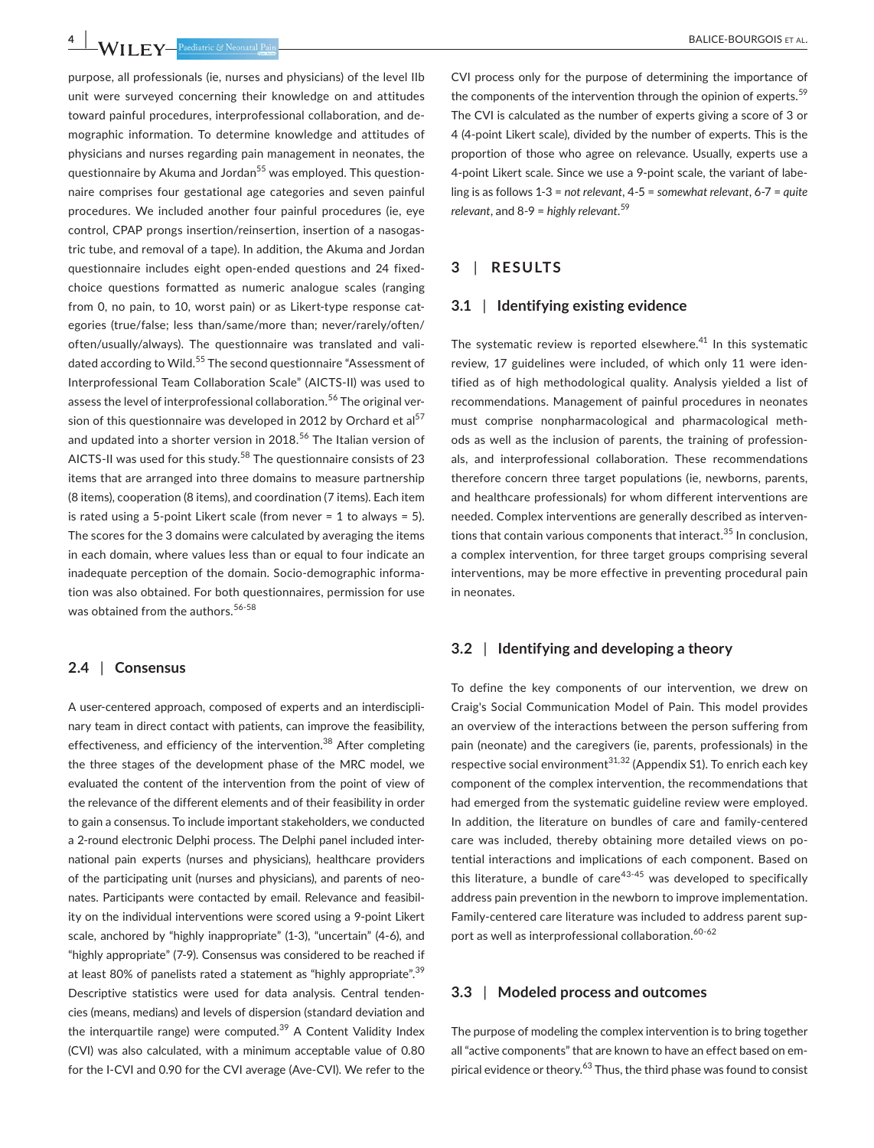purpose, all professionals (ie, nurses and physicians) of the level IIb unit were surveyed concerning their knowledge on and attitudes toward painful procedures, interprofessional collaboration, and demographic information. To determine knowledge and attitudes of physicians and nurses regarding pain management in neonates, the questionnaire by Akuma and Jordan<sup>55</sup> was employed. This questionnaire comprises four gestational age categories and seven painful procedures. We included another four painful procedures (ie, eye control, CPAP prongs insertion/reinsertion, insertion of a nasogastric tube, and removal of a tape). In addition, the Akuma and Jordan questionnaire includes eight open-ended questions and 24 fixedchoice questions formatted as numeric analogue scales (ranging from 0, no pain, to 10, worst pain) or as Likert-type response categories (true/false; less than/same/more than; never/rarely/often/ often/usually/always). The questionnaire was translated and validated according to Wild.<sup>55</sup> The second questionnaire "Assessment of Interprofessional Team Collaboration Scale" (AICTS-II) was used to assess the level of interprofessional collaboration.<sup>56</sup> The original version of this questionnaire was developed in 2012 by Orchard et al $57$ and updated into a shorter version in 2018. $56$  The Italian version of AICTS-II was used for this study.<sup>58</sup> The questionnaire consists of 23 items that are arranged into three domains to measure partnership (8 items), cooperation (8 items), and coordination (7 items). Each item is rated using a 5-point Likert scale (from never = 1 to always = 5). The scores for the 3 domains were calculated by averaging the items in each domain, where values less than or equal to four indicate an inadequate perception of the domain. Socio-demographic information was also obtained. For both questionnaires, permission for use was obtained from the authors.<sup>56-58</sup>

## **2.4** | **Consensus**

A user-centered approach, composed of experts and an interdisciplinary team in direct contact with patients, can improve the feasibility, effectiveness, and efficiency of the intervention.<sup>38</sup> After completing the three stages of the development phase of the MRC model, we evaluated the content of the intervention from the point of view of the relevance of the different elements and of their feasibility in order to gain a consensus. To include important stakeholders, we conducted a 2-round electronic Delphi process. The Delphi panel included international pain experts (nurses and physicians), healthcare providers of the participating unit (nurses and physicians), and parents of neonates. Participants were contacted by email. Relevance and feasibility on the individual interventions were scored using a 9-point Likert scale, anchored by "highly inappropriate" (1-3), "uncertain" (4-6), and "highly appropriate" (7-9). Consensus was considered to be reached if at least 80% of panelists rated a statement as "highly appropriate".<sup>39</sup> Descriptive statistics were used for data analysis. Central tendencies (means, medians) and levels of dispersion (standard deviation and the interquartile range) were computed.<sup>39</sup> A Content Validity Index (CVI) was also calculated, with a minimum acceptable value of 0.80 for the I-CVI and 0.90 for the CVI average (Ave-CVI). We refer to the

CVI process only for the purpose of determining the importance of the components of the intervention through the opinion of experts.<sup>59</sup> The CVI is calculated as the number of experts giving a score of 3 or 4 (4-point Likert scale), divided by the number of experts. This is the proportion of those who agree on relevance. Usually, experts use a 4-point Likert scale. Since we use a 9-point scale, the variant of labeling is as follows 1-3 = *not relevant*, 4-5 = *somewhat relevant*, 6-7 = *quite relevant*, and 8-9 = *highly relevant*. 59

## **3** | **RESULTS**

#### **3.1** | **Identifying existing evidence**

The systematic review is reported elsewhere. $41$  In this systematic review, 17 guidelines were included, of which only 11 were identified as of high methodological quality. Analysis yielded a list of recommendations. Management of painful procedures in neonates must comprise nonpharmacological and pharmacological methods as well as the inclusion of parents, the training of professionals, and interprofessional collaboration. These recommendations therefore concern three target populations (ie, newborns, parents, and healthcare professionals) for whom different interventions are needed. Complex interventions are generally described as interventions that contain various components that interact.<sup>35</sup> In conclusion, a complex intervention, for three target groups comprising several interventions, may be more effective in preventing procedural pain in neonates.

## **3.2** | **Identifying and developing a theory**

To define the key components of our intervention, we drew on Craig's Social Communication Model of Pain. This model provides an overview of the interactions between the person suffering from pain (neonate) and the caregivers (ie, parents, professionals) in the respective social environment $31,32$  (Appendix S1). To enrich each key component of the complex intervention, the recommendations that had emerged from the systematic guideline review were employed. In addition, the literature on bundles of care and family-centered care was included, thereby obtaining more detailed views on potential interactions and implications of each component. Based on this literature, a bundle of care $43-45$  was developed to specifically address pain prevention in the newborn to improve implementation. Family-centered care literature was included to address parent support as well as interprofessional collaboration.<sup>60-62</sup>

#### **3.3** | **Modeled process and outcomes**

The purpose of modeling the complex intervention is to bring together all "active components" that are known to have an effect based on empirical evidence or theory.<sup>63</sup> Thus, the third phase was found to consist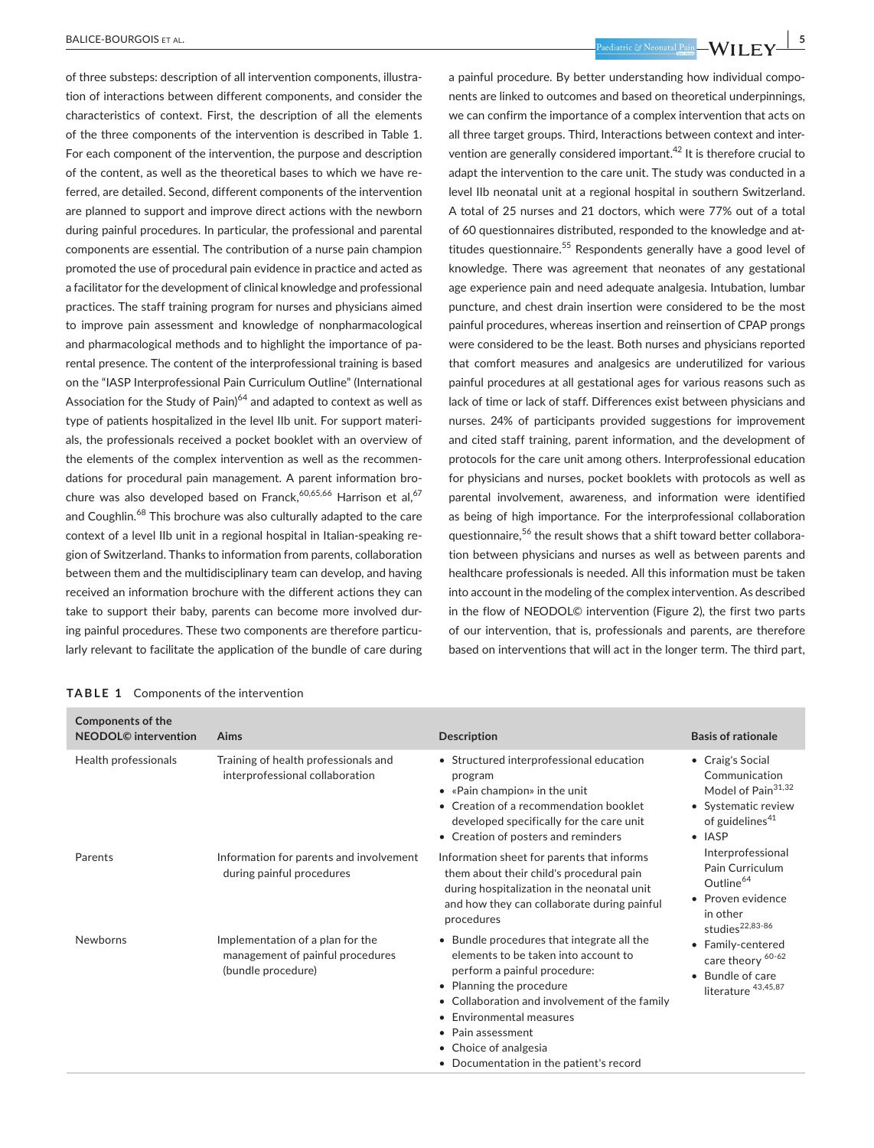of three substeps: description of all intervention components, illustration of interactions between different components, and consider the characteristics of context. First, the description of all the elements of the three components of the intervention is described in Table 1. For each component of the intervention, the purpose and description of the content, as well as the theoretical bases to which we have referred, are detailed. Second, different components of the intervention are planned to support and improve direct actions with the newborn during painful procedures. In particular, the professional and parental components are essential. The contribution of a nurse pain champion promoted the use of procedural pain evidence in practice and acted as a facilitator for the development of clinical knowledge and professional practices. The staff training program for nurses and physicians aimed to improve pain assessment and knowledge of nonpharmacological and pharmacological methods and to highlight the importance of parental presence. The content of the interprofessional training is based on the "IASP Interprofessional Pain Curriculum Outline" (International Association for the Study of Pain) $64$  and adapted to context as well as type of patients hospitalized in the level IIb unit. For support materials, the professionals received a pocket booklet with an overview of the elements of the complex intervention as well as the recommendations for procedural pain management. A parent information brochure was also developed based on Franck,<sup>60,65,66</sup> Harrison et al.<sup>67</sup> and Coughlin.<sup>68</sup> This brochure was also culturally adapted to the care context of a level IIb unit in a regional hospital in Italian-speaking region of Switzerland. Thanks to information from parents, collaboration between them and the multidisciplinary team can develop, and having received an information brochure with the different actions they can take to support their baby, parents can become more involved during painful procedures. These two components are therefore particularly relevant to facilitate the application of the bundle of care during

| <b>Components of the</b><br>NEODOL <sup>©</sup> intervention | Aims                                                                                       | <b>Description</b>                                                                                                                                                                                                                                                        | <b>Basis of rationale</b>                                                                                                                      |
|--------------------------------------------------------------|--------------------------------------------------------------------------------------------|---------------------------------------------------------------------------------------------------------------------------------------------------------------------------------------------------------------------------------------------------------------------------|------------------------------------------------------------------------------------------------------------------------------------------------|
| Health professionals                                         | Training of health professionals and<br>interprofessional collaboration                    | • Structured interprofessional education<br>program<br>• «Pain champion» in the unit<br>• Creation of a recommendation booklet<br>developed specifically for the care unit<br>• Creation of posters and reminders                                                         | • Craig's Social<br>Communication<br>Model of Pain <sup>31,32</sup><br>• Systematic review<br>of guidelines <sup>41</sup><br>IASP<br>$\bullet$ |
| Parents                                                      | Information for parents and involvement<br>during painful procedures                       | Information sheet for parents that informs<br>them about their child's procedural pain<br>during hospitalization in the neonatal unit<br>and how they can collaborate during painful<br>procedures                                                                        | Interprofessional<br><b>Pain Curriculum</b><br>Outline <sup>64</sup><br>Proven evidence<br>in other<br>studies <sup>22,83-86</sup>             |
| Newborns                                                     | Implementation of a plan for the<br>management of painful procedures<br>(bundle procedure) | • Bundle procedures that integrate all the<br>elements to be taken into account to<br>perform a painful procedure:<br>• Planning the procedure<br>• Collaboration and involvement of the family<br>• Environmental measures<br>• Pain assessment<br>• Choice of analgesia | • Family-centered<br>care theory 60-62<br>Bundle of care<br>literature 43,45,87                                                                |

• Documentation in the patient's record

|  | <b>TABLE 1</b> Components of the intervention |
|--|-----------------------------------------------|
|--|-----------------------------------------------|

a painful procedure. By better understanding how individual components are linked to outcomes and based on theoretical underpinnings, we can confirm the importance of a complex intervention that acts on all three target groups. Third, Interactions between context and intervention are generally considered important.<sup>42</sup> It is therefore crucial to adapt the intervention to the care unit. The study was conducted in a level IIb neonatal unit at a regional hospital in southern Switzerland. A total of 25 nurses and 21 doctors, which were 77% out of a total of 60 questionnaires distributed, responded to the knowledge and attitudes questionnaire.<sup>55</sup> Respondents generally have a good level of knowledge. There was agreement that neonates of any gestational age experience pain and need adequate analgesia. Intubation, lumbar puncture, and chest drain insertion were considered to be the most painful procedures, whereas insertion and reinsertion of CPAP prongs were considered to be the least. Both nurses and physicians reported that comfort measures and analgesics are underutilized for various painful procedures at all gestational ages for various reasons such as lack of time or lack of staff. Differences exist between physicians and nurses. 24% of participants provided suggestions for improvement and cited staff training, parent information, and the development of protocols for the care unit among others. Interprofessional education for physicians and nurses, pocket booklets with protocols as well as parental involvement, awareness, and information were identified as being of high importance. For the interprofessional collaboration questionnaire, $56$  the result shows that a shift toward better collaboration between physicians and nurses as well as between parents and healthcare professionals is needed. All this information must be taken into account in the modeling of the complex intervention. As described in the flow of NEODOL© intervention (Figure 2), the first two parts of our intervention, that is, professionals and parents, are therefore based on interventions that will act in the longer term. The third part,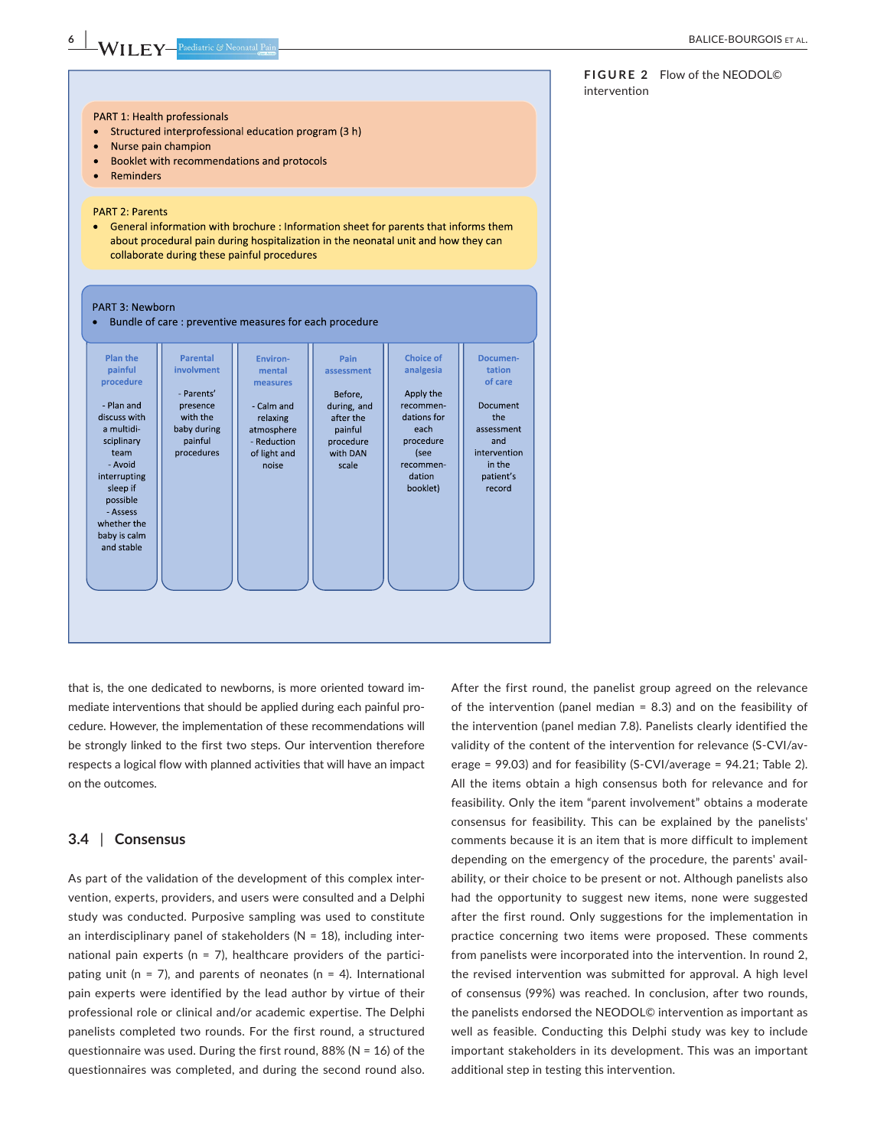#### **FIGURE 2** Flow of the NEODOL© intervention

**PART 1: Health professionals** 

- Structured interprofessional education program (3 h)  $\bullet$
- Nurse pain champion
- Booklet with recommendations and protocols
- Reminders

**PART 2: Parents** 

General information with brochure : Information sheet for parents that informs them about procedural pain during hospitalization in the neonatal unit and how they can collaborate during these painful procedures

#### PART 3: Newborn

• Bundle of care: preventive measures for each procedure



that is, the one dedicated to newborns, is more oriented toward immediate interventions that should be applied during each painful procedure. However, the implementation of these recommendations will be strongly linked to the first two steps. Our intervention therefore respects a logical flow with planned activities that will have an impact on the outcomes.

## **3.4** | **Consensus**

As part of the validation of the development of this complex intervention, experts, providers, and users were consulted and a Delphi study was conducted. Purposive sampling was used to constitute an interdisciplinary panel of stakeholders ( $N = 18$ ), including international pain experts ( $n = 7$ ), healthcare providers of the participating unit ( $n = 7$ ), and parents of neonates ( $n = 4$ ). International pain experts were identified by the lead author by virtue of their professional role or clinical and/or academic expertise. The Delphi panelists completed two rounds. For the first round, a structured questionnaire was used. During the first round, 88% (N = 16) of the questionnaires was completed, and during the second round also.

After the first round, the panelist group agreed on the relevance of the intervention (panel median = 8.3) and on the feasibility of the intervention (panel median 7.8). Panelists clearly identified the validity of the content of the intervention for relevance (S-CVI/average = 99.03) and for feasibility (S-CVI/average = 94.21; Table 2). All the items obtain a high consensus both for relevance and for feasibility. Only the item "parent involvement" obtains a moderate consensus for feasibility. This can be explained by the panelists' comments because it is an item that is more difficult to implement depending on the emergency of the procedure, the parents' availability, or their choice to be present or not. Although panelists also had the opportunity to suggest new items, none were suggested after the first round. Only suggestions for the implementation in practice concerning two items were proposed. These comments from panelists were incorporated into the intervention. In round 2, the revised intervention was submitted for approval. A high level of consensus (99%) was reached. In conclusion, after two rounds, the panelists endorsed the NEODOL© intervention as important as well as feasible. Conducting this Delphi study was key to include important stakeholders in its development. This was an important additional step in testing this intervention.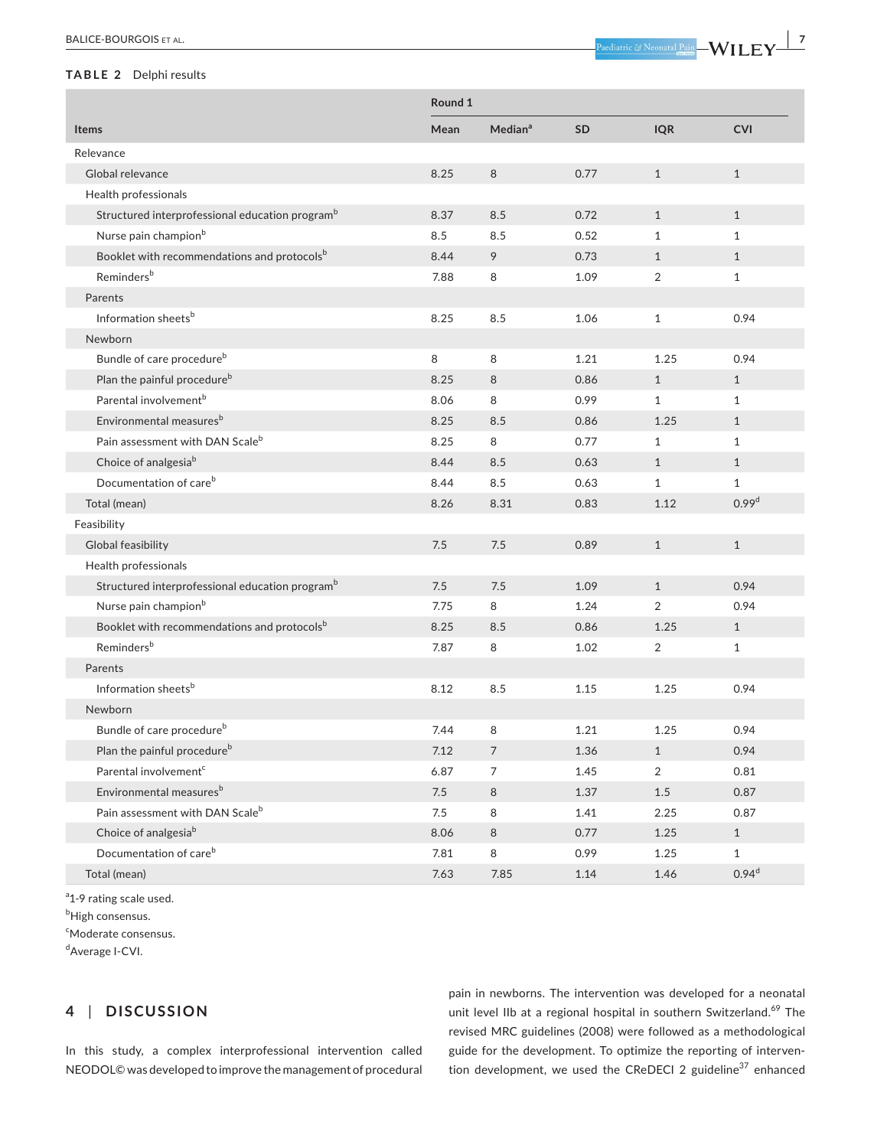## **TABLE 2** Delphi results

|                                                             | Round 1 |                     |           |                |                   |
|-------------------------------------------------------------|---------|---------------------|-----------|----------------|-------------------|
| Items                                                       | Mean    | Median <sup>a</sup> | <b>SD</b> | <b>IQR</b>     | <b>CVI</b>        |
| Relevance                                                   |         |                     |           |                |                   |
| Global relevance                                            | 8.25    | 8                   | 0.77      | $\mathbf{1}$   | $\mathbf{1}$      |
| Health professionals                                        |         |                     |           |                |                   |
| Structured interprofessional education program <sup>b</sup> | 8.37    | 8.5                 | 0.72      | $\mathbf{1}$   | $\mathbf{1}$      |
| Nurse pain champion <sup>b</sup>                            | 8.5     | 8.5                 | 0.52      | $\mathbf{1}$   | $\mathbf{1}$      |
| Booklet with recommendations and protocols <sup>b</sup>     | 8.44    | 9                   | 0.73      | $\mathbf{1}$   | $\mathbf{1}$      |
| Reminders <sup>b</sup>                                      | 7.88    | 8                   | 1.09      | $\overline{2}$ | $\mathbf{1}$      |
| Parents                                                     |         |                     |           |                |                   |
| Information sheets <sup>b</sup>                             | 8.25    | 8.5                 | 1.06      | $\mathbf{1}$   | 0.94              |
| Newborn                                                     |         |                     |           |                |                   |
| Bundle of care procedure <sup>b</sup>                       | 8       | 8                   | 1.21      | 1.25           | 0.94              |
| Plan the painful procedure <sup>b</sup>                     | 8.25    | 8                   | 0.86      | $\mathbf{1}$   | $\mathbf{1}$      |
| Parental involvement <sup>b</sup>                           | 8.06    | 8                   | 0.99      | $\mathbf{1}$   | $\mathbf{1}$      |
| Environmental measures <sup>b</sup>                         | 8.25    | 8.5                 | 0.86      | 1.25           | $\mathbf{1}$      |
| Pain assessment with DAN Scale <sup>b</sup>                 | 8.25    | 8                   | 0.77      | $\mathbf{1}$   | $\mathbf{1}$      |
| Choice of analgesiab                                        | 8.44    | 8.5                 | 0.63      | $\mathbf{1}$   | $\mathbf{1}$      |
| Documentation of care <sup>b</sup>                          | 8.44    | 8.5                 | 0.63      | $\mathbf{1}$   | $\mathbf{1}$      |
| Total (mean)                                                | 8.26    | 8.31                | 0.83      | 1.12           | 0.99 <sup>d</sup> |
| Feasibility                                                 |         |                     |           |                |                   |
| Global feasibility                                          | 7.5     | 7.5                 | 0.89      | $\mathbf{1}$   | $\mathbf{1}$      |
| Health professionals                                        |         |                     |           |                |                   |
| Structured interprofessional education program <sup>b</sup> | 7.5     | 7.5                 | 1.09      | $\mathbf{1}$   | 0.94              |
| Nurse pain champion <sup>b</sup>                            | 7.75    | 8                   | 1.24      | $\overline{2}$ | 0.94              |
| Booklet with recommendations and protocols <sup>b</sup>     | 8.25    | 8.5                 | 0.86      | 1.25           | $\mathbf{1}$      |
| Reminders <sup>b</sup>                                      | 7.87    | 8                   | 1.02      | $\overline{2}$ | $\mathbf{1}$      |
| Parents                                                     |         |                     |           |                |                   |
| Information sheetsb                                         | 8.12    | 8.5                 | 1.15      | 1.25           | 0.94              |
| Newborn                                                     |         |                     |           |                |                   |
| Bundle of care procedure <sup>b</sup>                       | 7.44    | 8                   | 1.21      | 1.25           | 0.94              |
| Plan the painful procedure <sup>b</sup>                     | 7.12    | $\overline{7}$      | 1.36      | $1\,$          | 0.94              |
| Parental involvement <sup>c</sup>                           | 6.87    | 7                   | 1.45      | $\overline{2}$ | 0.81              |
| Environmental measures <sup>b</sup>                         |         | $\,8\,$             | 1.37      | $1.5\,$        | 0.87              |
| Pain assessment with DAN Scale <sup>b</sup>                 |         | $\,8\,$             | 1.41      | 2.25           | 0.87              |
| Choice of analgesia <sup>b</sup>                            | 8.06    | 8                   | 0.77      | 1.25           | $\mathbf{1}$      |
| Documentation of care <sup>b</sup>                          | 7.81    | $\,8\,$             | 0.99      | 1.25           | $\mathbf{1}$      |
| Total (mean)                                                | 7.63    | 7.85                | 1.14      | 1.46           | 0.94 <sup>d</sup> |

<sup>a</sup>1-9 rating scale used.

<sup>b</sup>High consensus.

c Moderate consensus.

<sup>d</sup>Average I-CVI.

# **4** | **DISCUSSION**

In this study, a complex interprofessional intervention called NEODOL© was developed to improve the management of procedural pain in newborns. The intervention was developed for a neonatal unit level IIb at a regional hospital in southern Switzerland.<sup>69</sup> The revised MRC guidelines (2008) were followed as a methodological guide for the development. To optimize the reporting of intervention development, we used the CReDECI 2 guideline<sup>37</sup> enhanced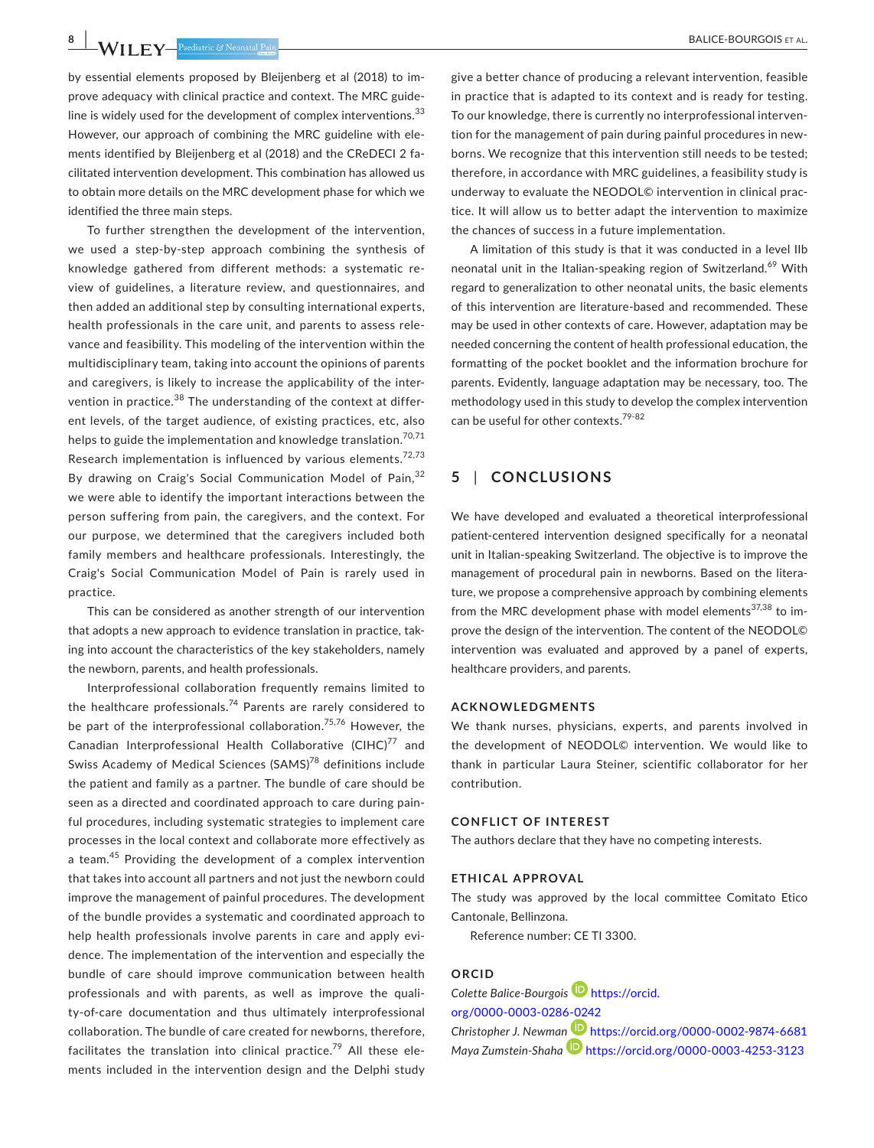by essential elements proposed by Bleijenberg et al (2018) to improve adequacy with clinical practice and context. The MRC guideline is widely used for the development of complex interventions.  $33$ However, our approach of combining the MRC guideline with elements identified by Bleijenberg et al (2018) and the CReDECI 2 facilitated intervention development. This combination has allowed us to obtain more details on the MRC development phase for which we identified the three main steps.

To further strengthen the development of the intervention, we used a step-by-step approach combining the synthesis of knowledge gathered from different methods: a systematic review of guidelines, a literature review, and questionnaires, and then added an additional step by consulting international experts, health professionals in the care unit, and parents to assess relevance and feasibility. This modeling of the intervention within the multidisciplinary team, taking into account the opinions of parents and caregivers, is likely to increase the applicability of the intervention in practice.<sup>38</sup> The understanding of the context at different levels, of the target audience, of existing practices, etc, also helps to guide the implementation and knowledge translation.<sup>70,71</sup> Research implementation is influenced by various elements. $72,73$ By drawing on Craig's Social Communication Model of Pain,<sup>32</sup> we were able to identify the important interactions between the person suffering from pain, the caregivers, and the context. For our purpose, we determined that the caregivers included both family members and healthcare professionals. Interestingly, the Craig's Social Communication Model of Pain is rarely used in practice.

This can be considered as another strength of our intervention that adopts a new approach to evidence translation in practice, taking into account the characteristics of the key stakeholders, namely the newborn, parents, and health professionals.

Interprofessional collaboration frequently remains limited to the healthcare professionals.<sup>74</sup> Parents are rarely considered to be part of the interprofessional collaboration.<sup>75,76</sup> However, the Canadian Interprofessional Health Collaborative (CIHC)<sup>77</sup> and Swiss Academy of Medical Sciences (SAMS)<sup>78</sup> definitions include the patient and family as a partner. The bundle of care should be seen as a directed and coordinated approach to care during painful procedures, including systematic strategies to implement care processes in the local context and collaborate more effectively as a team.<sup>45</sup> Providing the development of a complex intervention that takes into account all partners and not just the newborn could improve the management of painful procedures. The development of the bundle provides a systematic and coordinated approach to help health professionals involve parents in care and apply evidence. The implementation of the intervention and especially the bundle of care should improve communication between health professionals and with parents, as well as improve the quality-of-care documentation and thus ultimately interprofessional collaboration. The bundle of care created for newborns, therefore, facilitates the translation into clinical practice.<sup>79</sup> All these elements included in the intervention design and the Delphi study

give a better chance of producing a relevant intervention, feasible in practice that is adapted to its context and is ready for testing. To our knowledge, there is currently no interprofessional intervention for the management of pain during painful procedures in newborns. We recognize that this intervention still needs to be tested; therefore, in accordance with MRC guidelines, a feasibility study is underway to evaluate the NEODOL© intervention in clinical practice. It will allow us to better adapt the intervention to maximize the chances of success in a future implementation.

A limitation of this study is that it was conducted in a level IIb neonatal unit in the Italian-speaking region of Switzerland.<sup>69</sup> With regard to generalization to other neonatal units, the basic elements of this intervention are literature-based and recommended. These may be used in other contexts of care. However, adaptation may be needed concerning the content of health professional education, the formatting of the pocket booklet and the information brochure for parents. Evidently, language adaptation may be necessary, too. The methodology used in this study to develop the complex intervention can be useful for other contexts.<sup>79-82</sup>

## **5** | **CONCLUSIONS**

We have developed and evaluated a theoretical interprofessional patient-centered intervention designed specifically for a neonatal unit in Italian-speaking Switzerland. The objective is to improve the management of procedural pain in newborns. Based on the literature, we propose a comprehensive approach by combining elements from the MRC development phase with model elements<sup>37,38</sup> to improve the design of the intervention. The content of the NEODOL© intervention was evaluated and approved by a panel of experts, healthcare providers, and parents.

#### **ACKNOWLEDGMENTS**

We thank nurses, physicians, experts, and parents involved in the development of NEODOL© intervention. We would like to thank in particular Laura Steiner, scientific collaborator for her contribution.

#### **CONFLICT OF INTEREST**

The authors declare that they have no competing interests.

#### **ETHICAL APPROVAL**

The study was approved by the local committee Comitato Etico Cantonale, Bellinzona.

Reference number: CE TI 3300.

## **ORCID**

*Colette Balice-Bourgois* [https://orcid.](https://orcid.org/0000-0003-0286-0242) [org/0000-0003-0286-0242](https://orcid.org/0000-0003-0286-0242) *Christopher J. Newma[n](https://orcid.org/0000-0003-4253-3123)* <https://orcid.org/0000-0002-9874-6681> *Maya Zumstein-Shaha* <https://orcid.org/0000-0003-4253-3123>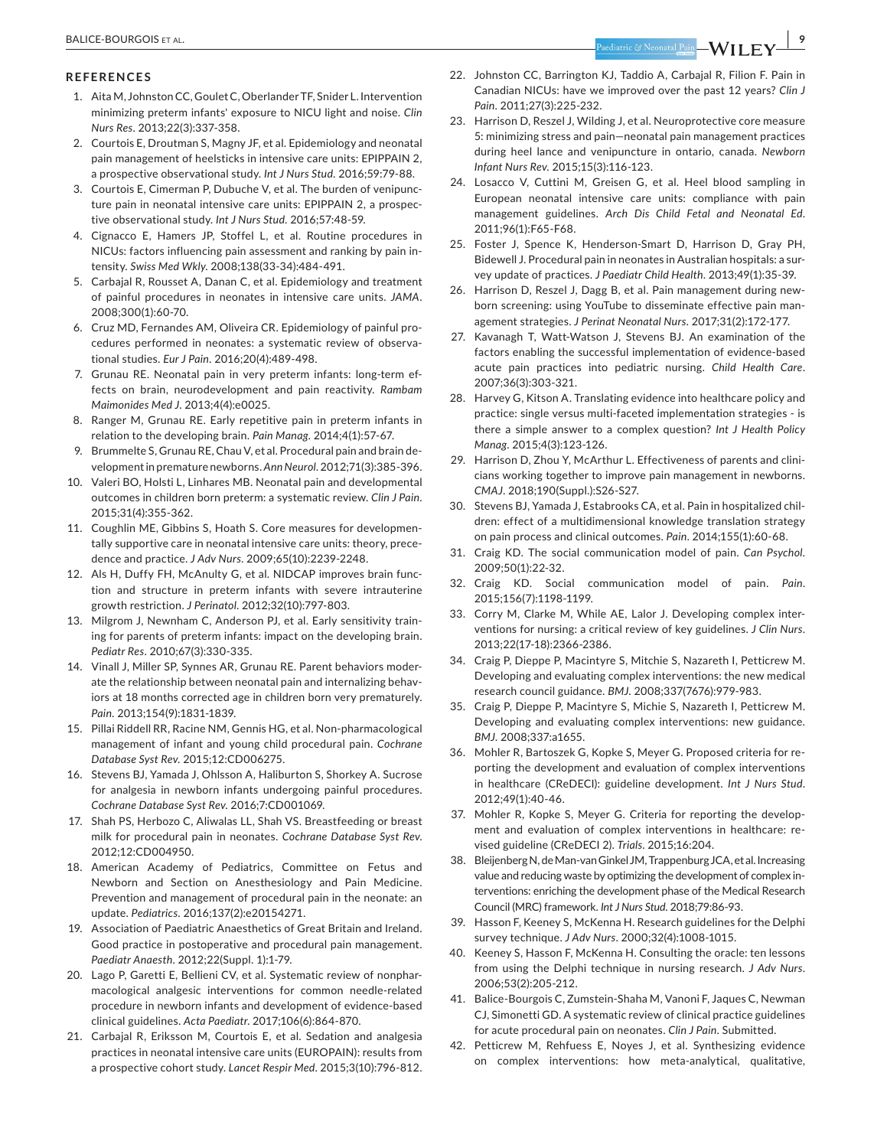#### **REFERENCES**

- 1. Aita M, Johnston CC, Goulet C, Oberlander TF, Snider L. Intervention minimizing preterm infants' exposure to NICU light and noise. *Clin Nurs Res*. 2013;22(3):337-358.
- 2. Courtois E, Droutman S, Magny JF, et al. Epidemiology and neonatal pain management of heelsticks in intensive care units: EPIPPAIN 2, a prospective observational study. *Int J Nurs Stud*. 2016;59:79-88.
- 3. Courtois E, Cimerman P, Dubuche V, et al. The burden of venipuncture pain in neonatal intensive care units: EPIPPAIN 2, a prospective observational study. *Int J Nurs Stud*. 2016;57:48-59.
- 4. Cignacco E, Hamers JP, Stoffel L, et al. Routine procedures in NICUs: factors influencing pain assessment and ranking by pain intensity. *Swiss Med Wkly*. 2008;138(33-34):484-491.
- 5. Carbajal R, Rousset A, Danan C, et al. Epidemiology and treatment of painful procedures in neonates in intensive care units. *JAMA*. 2008;300(1):60-70.
- 6. Cruz MD, Fernandes AM, Oliveira CR. Epidemiology of painful procedures performed in neonates: a systematic review of observational studies. *Eur J Pain*. 2016;20(4):489-498.
- 7. Grunau RE. Neonatal pain in very preterm infants: long-term effects on brain, neurodevelopment and pain reactivity. *Rambam Maimonides Med J*. 2013;4(4):e0025.
- 8. Ranger M, Grunau RE. Early repetitive pain in preterm infants in relation to the developing brain. *Pain Manag*. 2014;4(1):57-67.
- 9. Brummelte S, Grunau RE, Chau V, et al. Procedural pain and brain development in premature newborns. *Ann Neurol*. 2012;71(3):385-396.
- 10. Valeri BO, Holsti L, Linhares MB. Neonatal pain and developmental outcomes in children born preterm: a systematic review. *Clin J Pain*. 2015;31(4):355-362.
- 11. Coughlin ME, Gibbins S, Hoath S. Core measures for developmentally supportive care in neonatal intensive care units: theory, precedence and practice. *J Adv Nurs*. 2009;65(10):2239-2248.
- 12. Als H, Duffy FH, McAnulty G, et al. NIDCAP improves brain function and structure in preterm infants with severe intrauterine growth restriction. *J Perinatol*. 2012;32(10):797-803.
- 13. Milgrom J, Newnham C, Anderson PJ, et al. Early sensitivity training for parents of preterm infants: impact on the developing brain. *Pediatr Res*. 2010;67(3):330-335.
- 14. Vinall J, Miller SP, Synnes AR, Grunau RE. Parent behaviors moderate the relationship between neonatal pain and internalizing behaviors at 18 months corrected age in children born very prematurely. *Pain*. 2013;154(9):1831-1839.
- 15. Pillai Riddell RR, Racine NM, Gennis HG, et al. Non-pharmacological management of infant and young child procedural pain. *Cochrane Database Syst Rev*. 2015;12:CD006275.
- 16. Stevens BJ, Yamada J, Ohlsson A, Haliburton S, Shorkey A. Sucrose for analgesia in newborn infants undergoing painful procedures. *Cochrane Database Syst Rev*. 2016;7:CD001069.
- 17. Shah PS, Herbozo C, Aliwalas LL, Shah VS. Breastfeeding or breast milk for procedural pain in neonates. *Cochrane Database Syst Rev*. 2012;12:CD004950.
- 18. American Academy of Pediatrics, Committee on Fetus and Newborn and Section on Anesthesiology and Pain Medicine. Prevention and management of procedural pain in the neonate: an update. *Pediatrics*. 2016;137(2):e20154271.
- 19. Association of Paediatric Anaesthetics of Great Britain and Ireland. Good practice in postoperative and procedural pain management. *Paediatr Anaesth*. 2012;22(Suppl. 1):1-79.
- 20. Lago P, Garetti E, Bellieni CV, et al. Systematic review of nonpharmacological analgesic interventions for common needle-related procedure in newborn infants and development of evidence-based clinical guidelines. *Acta Paediatr*. 2017;106(6):864-870.
- 21. Carbajal R, Eriksson M, Courtois E, et al. Sedation and analgesia practices in neonatal intensive care units (EUROPAIN): results from a prospective cohort study. *Lancet Respir Med*. 2015;3(10):796-812.
- 22. Johnston CC, Barrington KJ, Taddio A, Carbajal R, Filion F. Pain in Canadian NICUs: have we improved over the past 12 years? *Clin J Pain*. 2011;27(3):225-232.
- 23. Harrison D, Reszel J, Wilding J, et al. Neuroprotective core measure 5: minimizing stress and pain—neonatal pain management practices during heel lance and venipuncture in ontario, canada. *Newborn Infant Nurs Rev*. 2015;15(3):116-123.
- 24. Losacco V, Cuttini M, Greisen G, et al. Heel blood sampling in European neonatal intensive care units: compliance with pain management guidelines. *Arch Dis Child Fetal and Neonatal Ed*. 2011;96(1):F65-F68.
- 25. Foster J, Spence K, Henderson-Smart D, Harrison D, Gray PH, Bidewell J. Procedural pain in neonates in Australian hospitals: a survey update of practices. *J Paediatr Child Health*. 2013;49(1):35-39.
- 26. Harrison D, Reszel J, Dagg B, et al. Pain management during newborn screening: using YouTube to disseminate effective pain management strategies. *J Perinat Neonatal Nurs*. 2017;31(2):172-177.
- 27. Kavanagh T, Watt-Watson J, Stevens BJ. An examination of the factors enabling the successful implementation of evidence-based acute pain practices into pediatric nursing. *Child Health Care*. 2007;36(3):303-321.
- 28. Harvey G, Kitson A. Translating evidence into healthcare policy and practice: single versus multi-faceted implementation strategies - is there a simple answer to a complex question? *Int J Health Policy Manag*. 2015;4(3):123-126.
- 29. Harrison D, Zhou Y, McArthur L. Effectiveness of parents and clinicians working together to improve pain management in newborns. *CMAJ*. 2018;190(Suppl.):S26-S27.
- 30. Stevens BJ, Yamada J, Estabrooks CA, et al. Pain in hospitalized children: effect of a multidimensional knowledge translation strategy on pain process and clinical outcomes. *Pain*. 2014;155(1):60-68.
- 31. Craig KD. The social communication model of pain. *Can Psychol*. 2009;50(1):22-32.
- 32. Craig KD. Social communication model of pain. *Pain*. 2015;156(7):1198-1199.
- 33. Corry M, Clarke M, While AE, Lalor J. Developing complex interventions for nursing: a critical review of key guidelines. *J Clin Nurs*. 2013;22(17-18):2366-2386.
- 34. Craig P, Dieppe P, Macintyre S, Mitchie S, Nazareth I, Petticrew M. Developing and evaluating complex interventions: the new medical research council guidance. *BMJ*. 2008;337(7676):979-983.
- 35. Craig P, Dieppe P, Macintyre S, Michie S, Nazareth I, Petticrew M. Developing and evaluating complex interventions: new guidance. *BMJ*. 2008;337:a1655.
- 36. Mohler R, Bartoszek G, Kopke S, Meyer G. Proposed criteria for reporting the development and evaluation of complex interventions in healthcare (CReDECI): guideline development. *Int J Nurs Stud*. 2012;49(1):40-46.
- 37. Mohler R, Kopke S, Meyer G. Criteria for reporting the development and evaluation of complex interventions in healthcare: revised guideline (CReDECI 2). *Trials*. 2015;16:204.
- 38. Bleijenberg N, de Man-van Ginkel JM, Trappenburg JCA, et al. Increasing value and reducing waste by optimizing the development of complex interventions: enriching the development phase of the Medical Research Council (MRC) framework. *Int J Nurs Stud*. 2018;79:86-93.
- 39. Hasson F, Keeney S, McKenna H. Research guidelines for the Delphi survey technique. *J Adv Nurs*. 2000;32(4):1008-1015.
- 40. Keeney S, Hasson F, McKenna H. Consulting the oracle: ten lessons from using the Delphi technique in nursing research. *J Adv Nurs*. 2006;53(2):205-212.
- 41. Balice-Bourgois C, Zumstein-Shaha M, Vanoni F, Jaques C, Newman CJ, Simonetti GD. A systematic review of clinical practice guidelines for acute procedural pain on neonates. *Clin J Pain*. Submitted.
- 42. Petticrew M, Rehfuess E, Noyes J, et al. Synthesizing evidence on complex interventions: how meta-analytical, qualitative,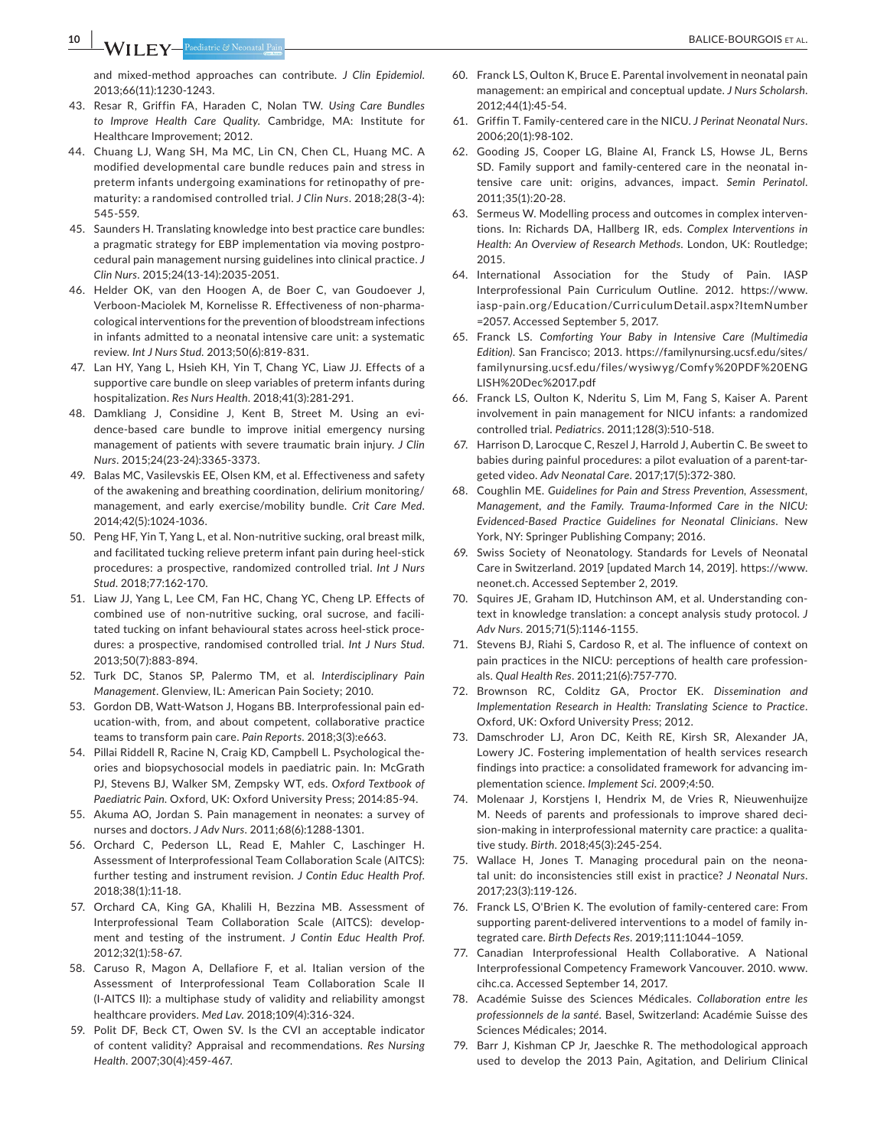**10 |**  BALICE-BOURGOIS et al.

and mixed-method approaches can contribute. *J Clin Epidemiol*. 2013;66(11):1230-1243.

- 43. Resar R, Griffin FA, Haraden C, Nolan TW. *Using Care Bundles to Improve Health Care Quality*. Cambridge, MA: Institute for Healthcare Improvement; 2012.
- 44. Chuang LJ, Wang SH, Ma MC, Lin CN, Chen CL, Huang MC. A modified developmental care bundle reduces pain and stress in preterm infants undergoing examinations for retinopathy of prematurity: a randomised controlled trial. *J Clin Nurs*. 2018;28(3-4): 545-559.
- 45. Saunders H. Translating knowledge into best practice care bundles: a pragmatic strategy for EBP implementation via moving postprocedural pain management nursing guidelines into clinical practice. *J Clin Nurs*. 2015;24(13-14):2035-2051.
- 46. Helder OK, van den Hoogen A, de Boer C, van Goudoever J, Verboon-Maciolek M, Kornelisse R. Effectiveness of non-pharmacological interventions for the prevention of bloodstream infections in infants admitted to a neonatal intensive care unit: a systematic review. *Int J Nurs Stud*. 2013;50(6):819-831.
- 47. Lan HY, Yang L, Hsieh KH, Yin T, Chang YC, Liaw JJ. Effects of a supportive care bundle on sleep variables of preterm infants during hospitalization. *Res Nurs Health*. 2018;41(3):281-291.
- 48. Damkliang J, Considine J, Kent B, Street M. Using an evidence-based care bundle to improve initial emergency nursing management of patients with severe traumatic brain injury. *J Clin Nurs*. 2015;24(23-24):3365-3373.
- 49. Balas MC, Vasilevskis EE, Olsen KM, et al. Effectiveness and safety of the awakening and breathing coordination, delirium monitoring/ management, and early exercise/mobility bundle. *Crit Care Med*. 2014;42(5):1024-1036.
- 50. Peng HF, Yin T, Yang L, et al. Non-nutritive sucking, oral breast milk, and facilitated tucking relieve preterm infant pain during heel-stick procedures: a prospective, randomized controlled trial. *Int J Nurs Stud*. 2018;77:162-170.
- 51. Liaw JJ, Yang L, Lee CM, Fan HC, Chang YC, Cheng LP. Effects of combined use of non-nutritive sucking, oral sucrose, and facilitated tucking on infant behavioural states across heel-stick procedures: a prospective, randomised controlled trial. *Int J Nurs Stud*. 2013;50(7):883-894.
- 52. Turk DC, Stanos SP, Palermo TM, et al. *Interdisciplinary Pain Management*. Glenview, IL: American Pain Society; 2010.
- 53. Gordon DB, Watt-Watson J, Hogans BB. Interprofessional pain education-with, from, and about competent, collaborative practice teams to transform pain care. *Pain Reports*. 2018;3(3):e663.
- 54. Pillai Riddell R, Racine N, Craig KD, Campbell L. Psychological theories and biopsychosocial models in paediatric pain. In: McGrath PJ, Stevens BJ, Walker SM, Zempsky WT, eds. *Oxford Textbook of Paediatric Pain*. Oxford, UK: Oxford University Press; 2014:85-94.
- 55. Akuma AO, Jordan S. Pain management in neonates: a survey of nurses and doctors. *J Adv Nurs*. 2011;68(6):1288-1301.
- 56. Orchard C, Pederson LL, Read E, Mahler C, Laschinger H. Assessment of Interprofessional Team Collaboration Scale (AITCS): further testing and instrument revision. *J Contin Educ Health Prof*. 2018;38(1):11-18.
- 57. Orchard CA, King GA, Khalili H, Bezzina MB. Assessment of Interprofessional Team Collaboration Scale (AITCS): development and testing of the instrument. *J Contin Educ Health Prof*. 2012;32(1):58-67.
- 58. Caruso R, Magon A, Dellafiore F, et al. Italian version of the Assessment of Interprofessional Team Collaboration Scale II (I-AITCS II): a multiphase study of validity and reliability amongst healthcare providers. *Med Lav*. 2018;109(4):316-324.
- 59. Polit DF, Beck CT, Owen SV. Is the CVI an acceptable indicator of content validity? Appraisal and recommendations. *Res Nursing Health*. 2007;30(4):459-467.
- 60. Franck LS, Oulton K, Bruce E. Parental involvement in neonatal pain management: an empirical and conceptual update. *J Nurs Scholarsh*. 2012;44(1):45-54.
- 61. Griffin T. Family-centered care in the NICU. *J Perinat Neonatal Nurs*. 2006;20(1):98-102.
- 62. Gooding JS, Cooper LG, Blaine AI, Franck LS, Howse JL, Berns SD. Family support and family-centered care in the neonatal intensive care unit: origins, advances, impact. *Semin Perinatol*. 2011;35(1):20-28.
- 63. Sermeus W. Modelling process and outcomes in complex interventions. In: Richards DA, Hallberg IR, eds. *Complex Interventions in Health: An Overview of Research Methods*. London, UK: Routledge; 2015.
- 64. International Association for the Study of Pain. IASP Interprofessional Pain Curriculum Outline. 2012. [https://www.](http://www.iasp-pain.org/Education/CurriculumDetail.aspx?ItemNumber=2057) [iasp-pain.org/Education/CurriculumDetail.aspx?ItemNumber](http://www.iasp-pain.org/Education/CurriculumDetail.aspx?ItemNumber=2057) [=2057](http://www.iasp-pain.org/Education/CurriculumDetail.aspx?ItemNumber=2057). Accessed September 5, 2017.
- 65. Franck LS. *Comforting Your Baby in Intensive Care (Multimedia Edition)*. San Francisco; 2013. [https://familynursing.ucsf.edu/sites/](https://familynursing.ucsf.edu/sites/familynursing.ucsf.edu/files/wysiwyg/Comfy PDF ENGLISH Dec 17.pdf) [familynursing.ucsf.edu/files/wysiwyg/Comfy%20PDF%20ENG](https://familynursing.ucsf.edu/sites/familynursing.ucsf.edu/files/wysiwyg/Comfy PDF ENGLISH Dec 17.pdf) [LISH%20Dec%2017.pdf](https://familynursing.ucsf.edu/sites/familynursing.ucsf.edu/files/wysiwyg/Comfy PDF ENGLISH Dec 17.pdf)
- 66. Franck LS, Oulton K, Nderitu S, Lim M, Fang S, Kaiser A. Parent involvement in pain management for NICU infants: a randomized controlled trial. *Pediatrics*. 2011;128(3):510-518.
- 67. Harrison D, Larocque C, Reszel J, Harrold J, Aubertin C. Be sweet to babies during painful procedures: a pilot evaluation of a parent-targeted video. *Adv Neonatal Care*. 2017;17(5):372-380.
- 68. Coughlin ME. *Guidelines for Pain and Stress Prevention, Assessment, Management, and the Family. Trauma-Informed Care in the NICU: Evidenced-Based Practice Guidelines for Neonatal Clinicians*. New York, NY: Springer Publishing Company; 2016.
- 69. Swiss Society of Neonatology. Standards for Levels of Neonatal Care in Switzerland. 2019 [updated March 14, 2019]. [https://www.](https://www.neonet.ch) [neonet.ch](https://www.neonet.ch). Accessed September 2, 2019.
- 70. Squires JE, Graham ID, Hutchinson AM, et al. Understanding context in knowledge translation: a concept analysis study protocol. *J Adv Nurs*. 2015;71(5):1146-1155.
- 71. Stevens BJ, Riahi S, Cardoso R, et al. The influence of context on pain practices in the NICU: perceptions of health care professionals. *Qual Health Res*. 2011;21(6):757-770.
- 72. Brownson RC, Colditz GA, Proctor EK. *Dissemination and Implementation Research in Health: Translating Science to Practice*. Oxford, UK: Oxford University Press; 2012.
- 73. Damschroder LJ, Aron DC, Keith RE, Kirsh SR, Alexander JA, Lowery JC. Fostering implementation of health services research findings into practice: a consolidated framework for advancing implementation science. *Implement Sci*. 2009;4:50.
- 74. Molenaar J, Korstjens I, Hendrix M, de Vries R, Nieuwenhuijze M. Needs of parents and professionals to improve shared decision-making in interprofessional maternity care practice: a qualitative study. *Birth*. 2018;45(3):245-254.
- 75. Wallace H, Jones T. Managing procedural pain on the neonatal unit: do inconsistencies still exist in practice? *J Neonatal Nurs*. 2017;23(3):119-126.
- 76. Franck LS, O'Brien K. The evolution of family-centered care: From supporting parent-delivered interventions to a model of family integrated care. *Birth Defects Res*. 2019;111:1044–1059.
- 77. Canadian Interprofessional Health Collaborative. A National Interprofessional Competency Framework Vancouver. 2010. [www.](http://www.cihc.ca) [cihc.ca](http://www.cihc.ca). Accessed September 14, 2017.
- 78. Académie Suisse des Sciences Médicales. *Collaboration entre les professionnels de la santé*. Basel, Switzerland: Académie Suisse des Sciences Médicales; 2014.
- 79. Barr J, Kishman CP Jr, Jaeschke R. The methodological approach used to develop the 2013 Pain, Agitation, and Delirium Clinical